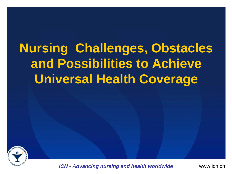# **Nursing Challenges, Obstacles and Possibilities to Achieve Universal Health Coverage**

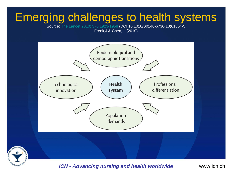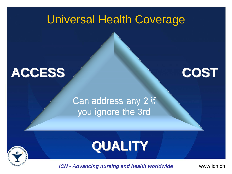#### Universal Health Coverage



#### Can address any 2 if you ignore the 3rd



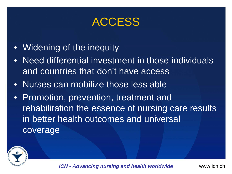#### **ACCESS**

- Widening of the inequity
- Need differential investment in those individuals and countries that don't have access
- Nurses can mobilize those less able
- Promotion, prevention, treatment and rehabilitation the essence of nursing care results in better health outcomes and universal coverage

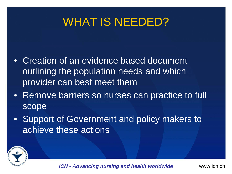#### WHAT IS NEEDED?

- Creation of an evidence based document outlining the population needs and which provider can best meet them
- Remove barriers so nurses can practice to full scope
- Support of Government and policy makers to achieve these actions

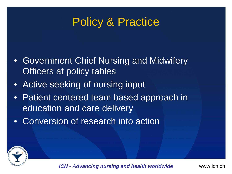#### Policy & Practice

- Government Chief Nursing and Midwifery Officers at policy tables
- Active seeking of nursing input
- Patient centered team based approach in education and care delivery
- Conversion of research into action

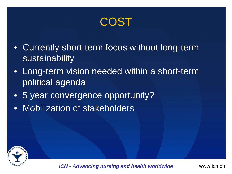COST

- Currently short-term focus without long-term sustainability
- Long-term vision needed within a short-term political agenda
- 5 year convergence opportunity?
- Mobilization of stakeholders

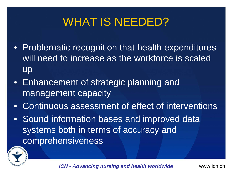## WHAT IS NEEDED?

- Problematic recognition that health expenditures will need to increase as the workforce is scaled up
- Enhancement of strategic planning and management capacity
- Continuous assessment of effect of interventions
- Sound information bases and improved data systems both in terms of accuracy and comprehensiveness

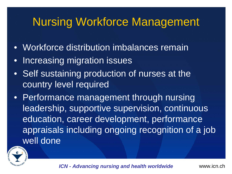#### Nursing Workforce Management

- Workforce distribution imbalances remain
- $\bullet$ Increasing migration issues
- Self sustaining production of nurses at the country level required
- Performance management through nursing leadership, supportive supervision, continuous education, career development, performance appraisals including ongoing recognition of a job well done

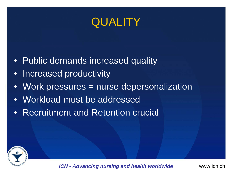#### **QUALITY**

- Public demands increased quality
- Increased productivity
- Work pressures = nurse depersonalization
- Workload must be addressed
- Recruitment and Retention crucial

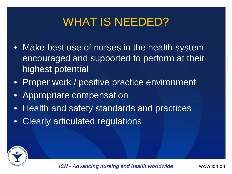#### WHAT IS NEEDED?

- Make best use of nurses in the health systemencouraged and supported to perform at their highest potential
- Proper work / positive practice environment
- Appropriate compensation
- Health and safety standards and practices
- $\bullet$ Clearly articulated regulations

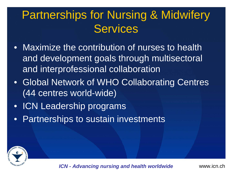## Partnerships for Nursing & Midwifery **Services**

- Maximize the contribution of nurses to health and development goals through multisectoral and interprofessional collaboration
- Global Network of WHO Collaborating Centres (44 centres world-wide)
- ICN Leadership programs
- Partnerships to sustain investments